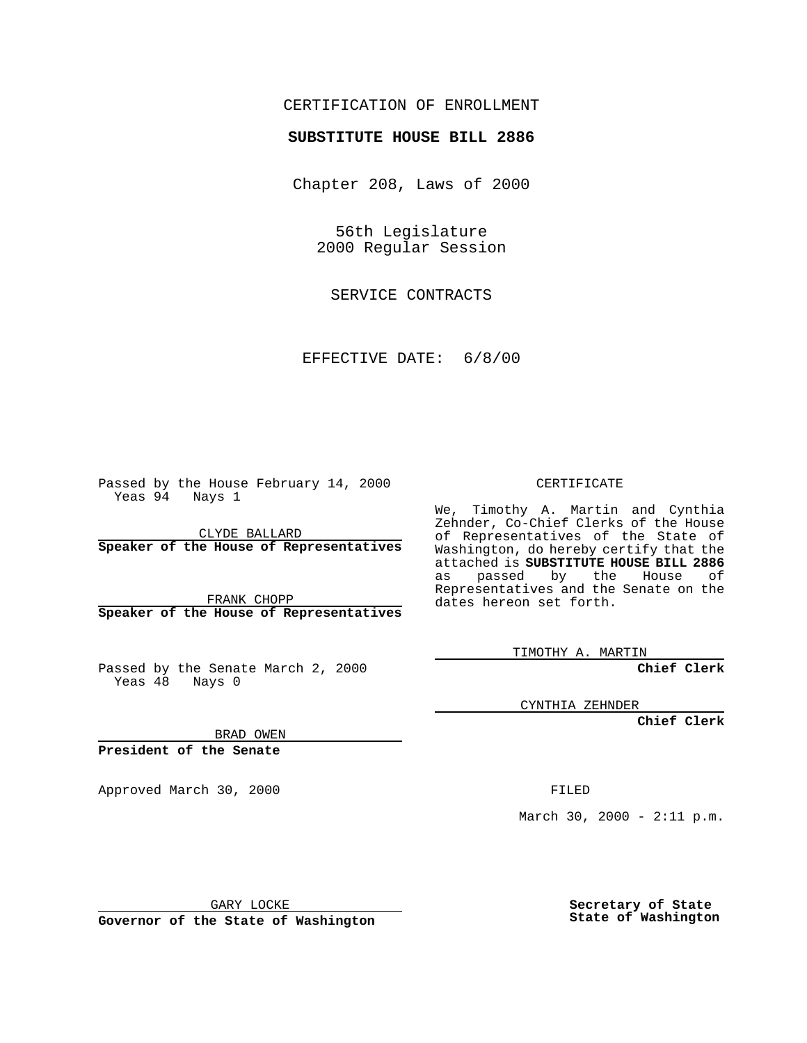## CERTIFICATION OF ENROLLMENT

## **SUBSTITUTE HOUSE BILL 2886**

Chapter 208, Laws of 2000

56th Legislature 2000 Regular Session

SERVICE CONTRACTS

EFFECTIVE DATE: 6/8/00

Passed by the House February 14, 2000 Yeas 94 Nays 1

CLYDE BALLARD **Speaker of the House of Representatives**

FRANK CHOPP **Speaker of the House of Representatives**

Passed by the Senate March 2, 2000 Yeas  $48$  Nays 0

CERTIFICATE

We, Timothy A. Martin and Cynthia Zehnder, Co-Chief Clerks of the House of Representatives of the State of Washington, do hereby certify that the attached is **SUBSTITUTE HOUSE BILL 2886** as passed by the House of Representatives and the Senate on the dates hereon set forth.

TIMOTHY A. MARTIN

**Chief Clerk**

CYNTHIA ZEHNDER

**Chief Clerk**

BRAD OWEN

**President of the Senate**

Approved March 30, 2000 FILED

March 30, 2000 - 2:11 p.m.

GARY LOCKE

**Governor of the State of Washington**

**Secretary of State State of Washington**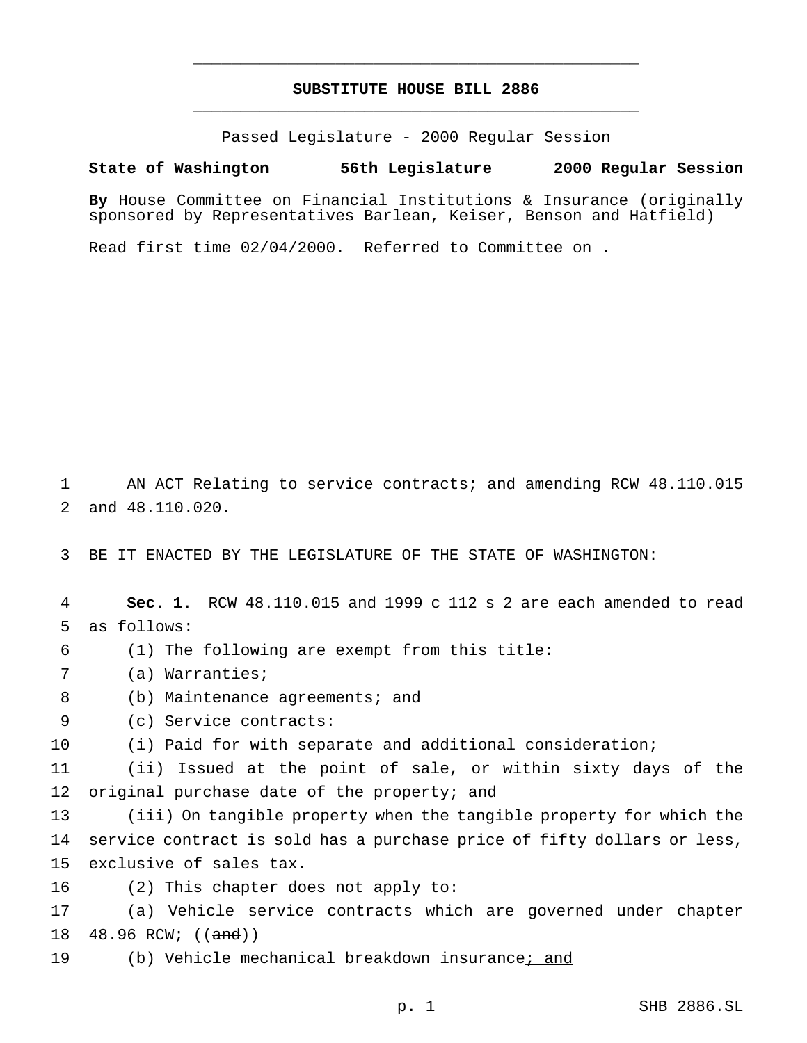## **SUBSTITUTE HOUSE BILL 2886** \_\_\_\_\_\_\_\_\_\_\_\_\_\_\_\_\_\_\_\_\_\_\_\_\_\_\_\_\_\_\_\_\_\_\_\_\_\_\_\_\_\_\_\_\_\_\_

\_\_\_\_\_\_\_\_\_\_\_\_\_\_\_\_\_\_\_\_\_\_\_\_\_\_\_\_\_\_\_\_\_\_\_\_\_\_\_\_\_\_\_\_\_\_\_

Passed Legislature - 2000 Regular Session

## **State of Washington 56th Legislature 2000 Regular Session**

**By** House Committee on Financial Institutions & Insurance (originally sponsored by Representatives Barlean, Keiser, Benson and Hatfield)

Read first time 02/04/2000. Referred to Committee on .

1 AN ACT Relating to service contracts; and amending RCW 48.110.015 2 and 48.110.020.

3 BE IT ENACTED BY THE LEGISLATURE OF THE STATE OF WASHINGTON:

4 **Sec. 1.** RCW 48.110.015 and 1999 c 112 s 2 are each amended to read 5 as follows:

- 6 (1) The following are exempt from this title:
- 7 (a) Warranties;
- 8 (b) Maintenance agreements; and
- 9 (c) Service contracts:

10 (i) Paid for with separate and additional consideration;

11 (ii) Issued at the point of sale, or within sixty days of the 12 original purchase date of the property; and

13 (iii) On tangible property when the tangible property for which the 14 service contract is sold has a purchase price of fifty dollars or less, 15 exclusive of sales tax.

16 (2) This chapter does not apply to:

17 (a) Vehicle service contracts which are governed under chapter 18 48.96 RCW; ((and))

19 (b) Vehicle mechanical breakdown insurance; and

p. 1 SHB 2886.SL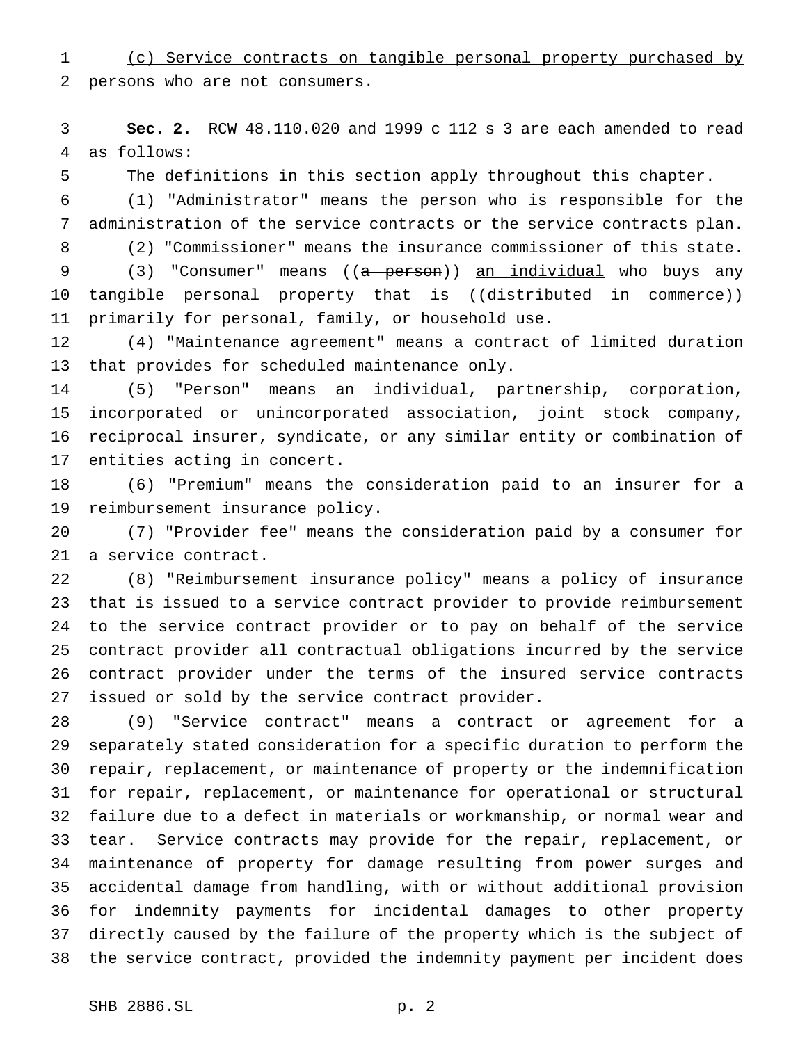(c) Service contracts on tangible personal property purchased by persons who are not consumers.

 **Sec. 2.** RCW 48.110.020 and 1999 c 112 s 3 are each amended to read as follows:

The definitions in this section apply throughout this chapter.

 (1) "Administrator" means the person who is responsible for the administration of the service contracts or the service contracts plan.

(2) "Commissioner" means the insurance commissioner of this state.

9 (3) "Consumer" means ((a person)) an individual who buys any 10 tangible personal property that is ((distributed in commerce)) 11 primarily for personal, family, or household use.

 (4) "Maintenance agreement" means a contract of limited duration that provides for scheduled maintenance only.

 (5) "Person" means an individual, partnership, corporation, incorporated or unincorporated association, joint stock company, reciprocal insurer, syndicate, or any similar entity or combination of entities acting in concert.

 (6) "Premium" means the consideration paid to an insurer for a reimbursement insurance policy.

 (7) "Provider fee" means the consideration paid by a consumer for a service contract.

 (8) "Reimbursement insurance policy" means a policy of insurance that is issued to a service contract provider to provide reimbursement to the service contract provider or to pay on behalf of the service contract provider all contractual obligations incurred by the service contract provider under the terms of the insured service contracts issued or sold by the service contract provider.

 (9) "Service contract" means a contract or agreement for a separately stated consideration for a specific duration to perform the repair, replacement, or maintenance of property or the indemnification for repair, replacement, or maintenance for operational or structural failure due to a defect in materials or workmanship, or normal wear and tear. Service contracts may provide for the repair, replacement, or maintenance of property for damage resulting from power surges and accidental damage from handling, with or without additional provision for indemnity payments for incidental damages to other property directly caused by the failure of the property which is the subject of the service contract, provided the indemnity payment per incident does